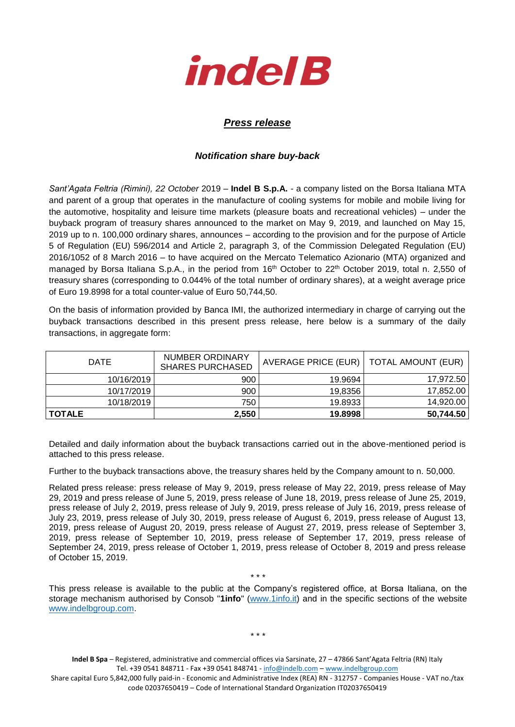

## *Press release*

## *Notification share buy-back*

*Sant'Agata Feltria (Rimini), 22 October* 2019 – **Indel B S.p.A.** - a company listed on the Borsa Italiana MTA and parent of a group that operates in the manufacture of cooling systems for mobile and mobile living for the automotive, hospitality and leisure time markets (pleasure boats and recreational vehicles) – under the buyback program of treasury shares announced to the market on May 9, 2019, and launched on May 15, 2019 up to n. 100,000 ordinary shares, announces – according to the provision and for the purpose of Article 5 of Regulation (EU) 596/2014 and Article 2, paragraph 3, of the Commission Delegated Regulation (EU) 2016/1052 of 8 March 2016 – to have acquired on the Mercato Telematico Azionario (MTA) organized and managed by Borsa Italiana S.p.A., in the period from 16<sup>th</sup> October to 22<sup>th</sup> October 2019, total n. 2,550 of treasury shares (corresponding to 0.044% of the total number of ordinary shares), at a weight average price of Euro 19.8998 for a total counter-value of Euro 50,744,50.

On the basis of information provided by Banca IMI, the authorized intermediary in charge of carrying out the buyback transactions described in this present press release, here below is a summary of the daily transactions, in aggregate form:

| <b>DATE</b>   | NUMBER ORDINARY<br><b>SHARES PURCHASED</b> | AVERAGE PRICE (EUR)   TOTAL AMOUNT (EUR) |           |
|---------------|--------------------------------------------|------------------------------------------|-----------|
| 10/16/2019    | 900                                        | 19.9694                                  | 17,972.50 |
| 10/17/2019    | 900                                        | 19,8356                                  | 17,852.00 |
| 10/18/2019    | 750                                        | 19.8933                                  | 14,920.00 |
| <b>TOTALE</b> | 2,550                                      | 19,8998                                  | 50,744.50 |

Detailed and daily information about the buyback transactions carried out in the above-mentioned period is attached to this press release.

Further to the buyback transactions above, the treasury shares held by the Company amount to n. 50,000.

Related press release: press release of May 9, 2019, press release of May 22, 2019, press release of May 29, 2019 and press release of June 5, 2019, press release of June 18, 2019, press release of June 25, 2019, press release of July 2, 2019, press release of July 9, 2019, press release of July 16, 2019, press release of July 23, 2019, press release of July 30, 2019, press release of August 6, 2019, press release of August 13, 2019, press release of August 20, 2019, press release of August 27, 2019, press release of September 3, 2019, press release of September 10, 2019, press release of September 17, 2019, press release of September 24, 2019, press release of October 1, 2019, press release of October 8, 2019 and press release of October 15, 2019.

\* \* \*

This press release is available to the public at the Company's registered office, at Borsa Italiana, on the storage mechanism authorised by Consob "**1info**" [\(www.1info.it\)](file:///C:/Users/ddelietovollaro/AppData/Local/Microsoft/Windows/INetCache/Content.Outlook/T87B94UR/www.1info.it) and in the specific sections of the website [www.indelbgroup.com.](http://www.indelbgroup.com/)

**Indel B Spa** – Registered, administrative and commercial offices via Sarsinate, 27 – 47866 Sant'Agata Feltria (RN) Italy Tel. +39 0541 848711 - Fax +39 0541 848741 - [info@indelb.com](mailto:info@indelb.com) – [www.indelbgroup.com](http://www.indelbgroup.com/)

Share capital Euro 5,842,000 fully paid-in - Economic and Administrative Index (REA) RN - 312757 - Companies House - VAT no./tax code 02037650419 – Code of International Standard Organization IT02037650419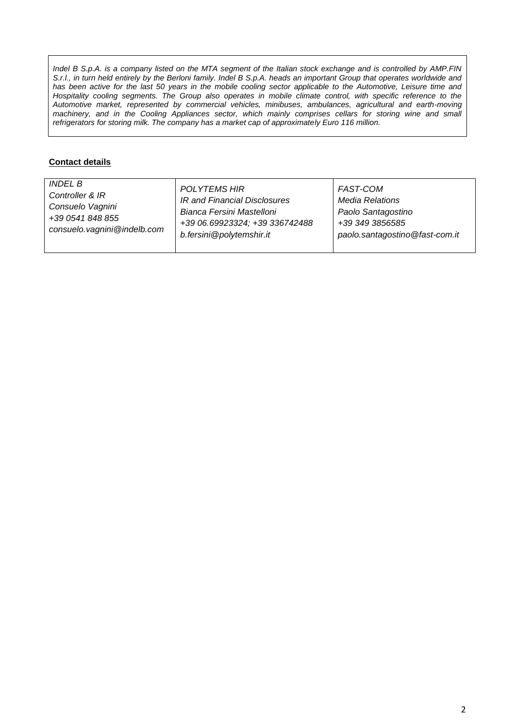*Indel B S.p.A. is a company listed on the MTA segment of the Italian stock exchange and is controlled by AMP.FIN S.r.l., in turn held entirely by the Berloni family. Indel B S.p.A. heads an important Group that operates worldwide and* has been active for the last 50 years in the mobile cooling sector applicable to the Automotive, Leisure time and Hospitality cooling segments. The Group also operates in mobile climate control, with specific reference to the *Automotive market, represented by commercial vehicles, minibuses, ambulances, agricultural and earth-moving machinery, and in the Cooling Appliances sector, which mainly comprises cellars for storing wine and small refrigerators for storing milk. The company has a market cap of approximately Euro 116 million.* 

## **Contact details**

| <b>INDEL B</b>              | <b>POLYTEMS HIR</b>            | FAST-COM                       |
|-----------------------------|--------------------------------|--------------------------------|
| Controller & IR             | IR and Financial Disclosures   | <b>Media Relations</b>         |
| Consuelo Vagnini            | Bianca Fersini Mastelloni      | Paolo Santagostino             |
| +39 0541 848 855            | +39 06.69923324; +39 336742488 | +39 349 3856585                |
| consuelo.vagnini@indelb.com | b.fersini@polytemshir.it       | paolo.santagostino@fast-com.it |